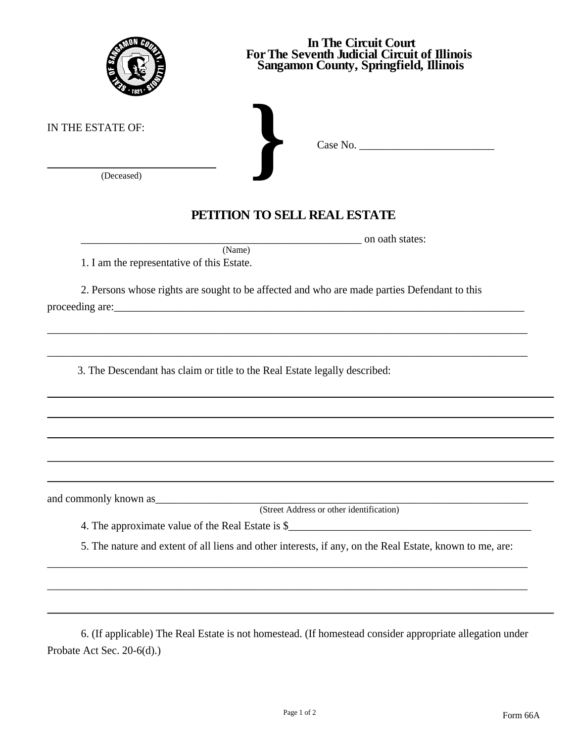|                                            | In The Circuit Court<br>For The Seventh Judicial Circuit of Illinois<br>Sangamon County, Springfield, Illinois |
|--------------------------------------------|----------------------------------------------------------------------------------------------------------------|
| IN THE ESTATE OF:<br>(Deceased)            |                                                                                                                |
|                                            | PETITION TO SELL REAL ESTATE                                                                                   |
|                                            | on oath states:<br>(Name)                                                                                      |
| 1. I am the representative of this Estate. |                                                                                                                |
|                                            | 2. Persons whose rights are sought to be affected and who are made parties Defendant to this                   |
|                                            | 3. The Descendant has claim or title to the Real Estate legally described:                                     |
|                                            |                                                                                                                |
| and commonly known as                      | (Street Address or other identification)                                                                       |
|                                            |                                                                                                                |
|                                            | 5. The nature and extent of all liens and other interests, if any, on the Real Estate, known to me, are:       |
|                                            |                                                                                                                |
|                                            |                                                                                                                |
|                                            |                                                                                                                |

6. (If applicable) The Real Estate is not homestead. (If homestead consider appropriate allegation under Probate Act Sec. 20-6(d).)